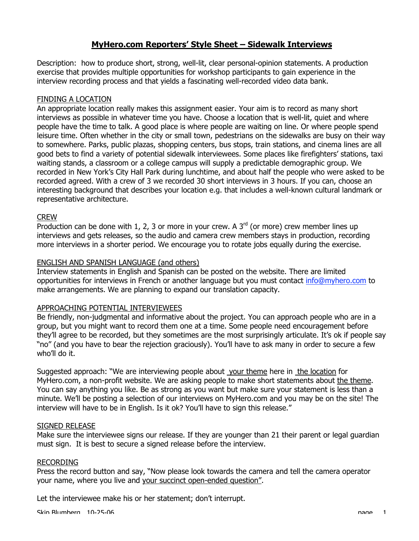# **MyHero.com Reporters' Style Sheet – Sidewalk Interviews**

Description: how to produce short, strong, well-lit, clear personal-opinion statements. A production exercise that provides multiple opportunities for workshop participants to gain experience in the interview recording process and that yields a fascinating well-recorded video data bank.

# FINDING A LOCATION

An appropriate location really makes this assignment easier. Your aim is to record as many short interviews as possible in whatever time you have. Choose a location that is well-lit, quiet and where people have the time to talk. A good place is where people are waiting on line. Or where people spend leisure time. Often whether in the city or small town, pedestrians on the sidewalks are busy on their way to somewhere. Parks, public plazas, shopping centers, bus stops, train stations, and cinema lines are all good bets to find a variety of potential sidewalk interviewees. Some places like firefighters' stations, taxi waiting stands, a classroom or a college campus will supply a predictable demographic group. We recorded in New York's City Hall Park during lunchtime, and about half the people who were asked to be recorded agreed. With a crew of 3 we recorded 30 short interviews in 3 hours. If you can, choose an interesting background that describes your location e.g. that includes a well-known cultural landmark or representative architecture.

### CREW

Production can be done with 1, 2, 3 or more in your crew. A  $3<sup>rd</sup>$  (or more) crew member lines up interviews and gets releases, so the audio and camera crew members stays in production, recording more interviews in a shorter period. We encourage you to rotate jobs equally during the exercise.

### ENGLISH AND SPANISH LANGUAGE (and others)

Interview statements in English and Spanish can be posted on the website. There are limited opportunities for interviews in French or another language but you must contact info@myhero.com to make arrangements. We are planning to expand our translation capacity.

### APPROACHING POTENTIAL INTERVIEWEES

Be friendly, non-judgmental and informative about the project. You can approach people who are in a group, but you might want to record them one at a time. Some people need encouragement before they'll agree to be recorded, but they sometimes are the most surprisingly articulate. It's ok if people say "no" (and you have to bear the rejection graciously). You'll have to ask many in order to secure a few who'll do it.

Suggested approach: "We are interviewing people about your theme here in the location for MyHero.com, a non-profit website. We are asking people to make short statements about the theme. You can say anything you like. Be as strong as you want but make sure your statement is less than a minute. We'll be posting a selection of our interviews on MyHero.com and you may be on the site! The interview will have to be in English. Is it ok? You'll have to sign this release."

### SIGNED RELEASE

Make sure the interviewee signs our release. If they are younger than 21 their parent or legal guardian must sign. It is best to secure a signed release before the interview.

### RECORDING

Press the record button and say, "Now please look towards the camera and tell the camera operator your name, where you live and your succinct open-ended question".

Let the interviewee make his or her statement; don't interrupt.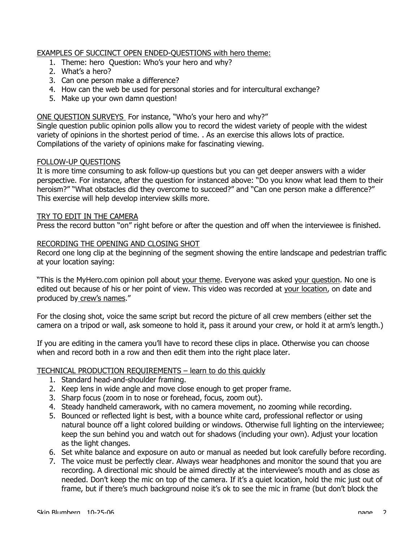### EXAMPLES OF SUCCINCT OPEN ENDED-QUESTIONS with hero theme:

- 1. Theme: hero Question: Who's your hero and why?
- 2. What's a hero?
- 3. Can one person make a difference?
- 4. How can the web be used for personal stories and for intercultural exchange?
- 5. Make up your own damn question!

# ONE QUESTION SURVEYS For instance, "Who's your hero and why?"

Single question public opinion polls allow you to record the widest variety of people with the widest variety of opinions in the shortest period of time. . As an exercise this allows lots of practice. Compilations of the variety of opinions make for fascinating viewing.

### FOLLOW-UP QUESTIONS

It is more time consuming to ask follow-up questions but you can get deeper answers with a wider perspective. For instance, after the question for instanced above: "Do you know what lead them to their heroism?" "What obstacles did they overcome to succeed?" and "Can one person make a difference?" This exercise will help develop interview skills more.

### TRY TO EDIT IN THE CAMERA

Press the record button "on" right before or after the question and off when the interviewee is finished.

### RECORDING THE OPENING AND CLOSING SHOT

Record one long clip at the beginning of the segment showing the entire landscape and pedestrian traffic at your location saying:

"This is the MyHero.com opinion poll about your theme. Everyone was asked your question. No one is edited out because of his or her point of view. This video was recorded at your location, on date and produced by crew's names."

For the closing shot, voice the same script but record the picture of all crew members (either set the camera on a tripod or wall, ask someone to hold it, pass it around your crew, or hold it at arm's length.)

If you are editing in the camera you'll have to record these clips in place. Otherwise you can choose when and record both in a row and then edit them into the right place later.

### TECHNICAL PRODUCTION REQUIREMENTS – learn to do this quickly

- 1. Standard head-and-shoulder framing.
- 2. Keep lens in wide angle and move close enough to get proper frame.
- 3. Sharp focus (zoom in to nose or forehead, focus, zoom out).
- 4. Steady handheld camerawork, with no camera movement, no zooming while recording.
- 5. Bounced or reflected light is best, with a bounce white card, professional reflector or using natural bounce off a light colored building or windows. Otherwise full lighting on the interviewee; keep the sun behind you and watch out for shadows (including your own). Adjust your location as the light changes.
- 6. Set white balance and exposure on auto or manual as needed but look carefully before recording.
- 7. The voice must be perfectly clear. Always wear headphones and monitor the sound that you are recording. A directional mic should be aimed directly at the interviewee's mouth and as close as needed. Don't keep the mic on top of the camera. If it's a quiet location, hold the mic just out of frame, but if there's much background noise it's ok to see the mic in frame (but don't block the